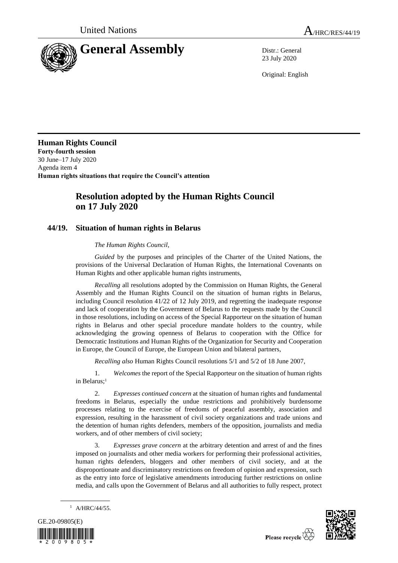



23 July 2020

Original: English

**Human Rights Council Forty-fourth session** 30 June–17 July 2020 Agenda item 4 **Human rights situations that require the Council's attention**

# **Resolution adopted by the Human Rights Council on 17 July 2020**

## **44/19. Situation of human rights in Belarus**

## *The Human Rights Council*,

*Guided* by the purposes and principles of the Charter of the United Nations, the provisions of the Universal Declaration of Human Rights, the International Covenants on Human Rights and other applicable human rights instruments,

*Recalling* all resolutions adopted by the Commission on Human Rights, the General Assembly and the Human Rights Council on the situation of human rights in Belarus, including Council resolution 41/22 of 12 July 2019, and regretting the inadequate response and lack of cooperation by the Government of Belarus to the requests made by the Council in those resolutions, including on access of the Special Rapporteur on the situation of human rights in Belarus and other special procedure mandate holders to the country, while acknowledging the growing openness of Belarus to cooperation with the Office for Democratic Institutions and Human Rights of the Organization for Security and Cooperation in Europe, the Council of Europe, the European Union and bilateral partners,

*Recalling also* Human Rights Council resolutions 5/1 and 5/2 of 18 June 2007,

1. *Welcomes* the report of the Special Rapporteur on the situation of human rights in Belarus:<sup>1</sup>

2. *Expresses continued concern* at the situation of human rights and fundamental freedoms in Belarus, especially the undue restrictions and prohibitively burdensome processes relating to the exercise of freedoms of peaceful assembly, association and expression, resulting in the harassment of civil society organizations and trade unions and the detention of human rights defenders, members of the opposition, journalists and media workers, and of other members of civil society;

3. *Expresses grave concern* at the arbitrary detention and arrest of and the fines imposed on journalists and other media workers for performing their professional activities, human rights defenders, bloggers and other members of civil society, and at the disproportionate and discriminatory restrictions on freedom of opinion and expression, such as the entry into force of legislative amendments introducing further restrictions on online media, and calls upon the Government of Belarus and all authorities to fully respect, protect







Please recycle  $\overleftrightarrow{C}$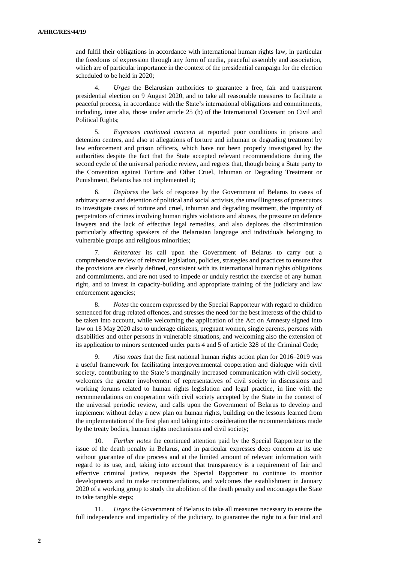and fulfil their obligations in accordance with international human rights law, in particular the freedoms of expression through any form of media, peaceful assembly and association, which are of particular importance in the context of the presidential campaign for the election scheduled to be held in 2020;

4. *Urges* the Belarusian authorities to guarantee a free, fair and transparent presidential election on 9 August 2020, and to take all reasonable measures to facilitate a peaceful process, in accordance with the State's international obligations and commitments, including, inter alia, those under article 25 (b) of the International Covenant on Civil and Political Rights;

5. *Expresses continued concern* at reported poor conditions in prisons and detention centres, and also at allegations of torture and inhuman or degrading treatment by law enforcement and prison officers, which have not been properly investigated by the authorities despite the fact that the State accepted relevant recommendations during the second cycle of the universal periodic review, and regrets that, though being a State party to the Convention against Torture and Other Cruel, Inhuman or Degrading Treatment or Punishment, Belarus has not implemented it;

6. *Deplores* the lack of response by the Government of Belarus to cases of arbitrary arrest and detention of political and social activists, the unwillingness of prosecutors to investigate cases of torture and cruel, inhuman and degrading treatment, the impunity of perpetrators of crimes involving human rights violations and abuses, the pressure on defence lawyers and the lack of effective legal remedies, and also deplores the discrimination particularly affecting speakers of the Belarusian language and individuals belonging to vulnerable groups and religious minorities;

7. *Reiterates* its call upon the Government of Belarus to carry out a comprehensive review of relevant legislation, policies, strategies and practices to ensure that the provisions are clearly defined, consistent with its international human rights obligations and commitments, and are not used to impede or unduly restrict the exercise of any human right, and to invest in capacity-building and appropriate training of the judiciary and law enforcement agencies;

8. *Notes* the concern expressed by the Special Rapporteur with regard to children sentenced for drug-related offences, and stresses the need for the best interests of the child to be taken into account, while welcoming the application of the Act on Amnesty signed into law on 18 May 2020 also to underage citizens, pregnant women, single parents, persons with disabilities and other persons in vulnerable situations, and welcoming also the extension of its application to minors sentenced under parts 4 and 5 of article 328 of the Criminal Code;

Also notes that the first national human rights action plan for 2016–2019 was a useful framework for facilitating intergovernmental cooperation and dialogue with civil society, contributing to the State's marginally increased communication with civil society, welcomes the greater involvement of representatives of civil society in discussions and working forums related to human rights legislation and legal practice, in line with the recommendations on cooperation with civil society accepted by the State in the context of the universal periodic review, and calls upon the Government of Belarus to develop and implement without delay a new plan on human rights, building on the lessons learned from the implementation of the first plan and taking into consideration the recommendations made by the treaty bodies, human rights mechanisms and civil society;

10. *Further notes* the continued attention paid by the Special Rapporteur to the issue of the death penalty in Belarus, and in particular expresses deep concern at its use without guarantee of due process and at the limited amount of relevant information with regard to its use, and, taking into account that transparency is a requirement of fair and effective criminal justice, requests the Special Rapporteur to continue to monitor developments and to make recommendations, and welcomes the establishment in January 2020 of a working group to study the abolition of the death penalty and encourages the State to take tangible steps;

11. *Urges* the Government of Belarus to take all measures necessary to ensure the full independence and impartiality of the judiciary, to guarantee the right to a fair trial and